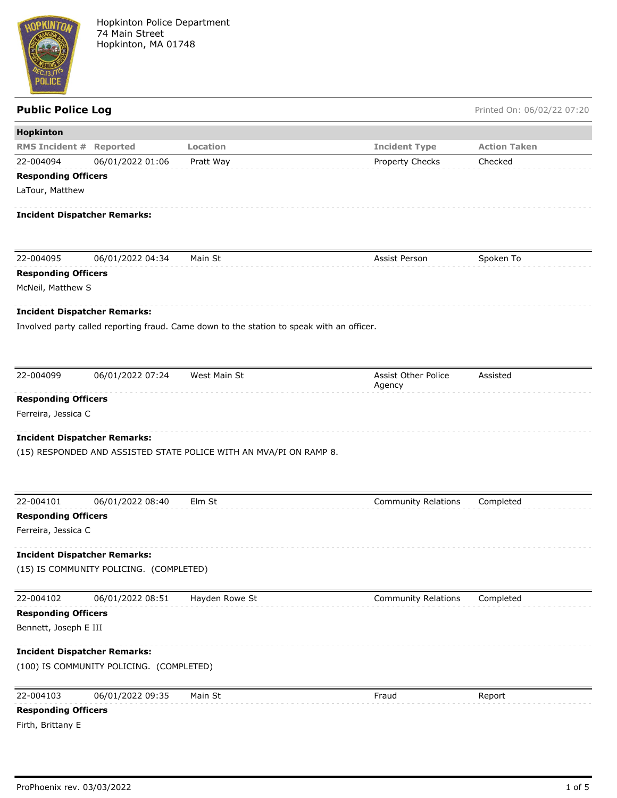

Hopkinton Police Department 74 Main Street Hopkinton, MA 01748

Public Police Log **Public Police Log** Printed On: 06/02/22 07:20

| Hopkinton                           |                                          |                                                                                           |                                      |                     |  |  |  |
|-------------------------------------|------------------------------------------|-------------------------------------------------------------------------------------------|--------------------------------------|---------------------|--|--|--|
| <b>RMS Incident #</b>               | Reported                                 | Location                                                                                  | <b>Incident Type</b>                 | <b>Action Taken</b> |  |  |  |
| 22-004094                           | 06/01/2022 01:06                         | Pratt Way                                                                                 | Property Checks                      | Checked             |  |  |  |
| <b>Responding Officers</b>          |                                          |                                                                                           |                                      |                     |  |  |  |
| LaTour, Matthew                     |                                          |                                                                                           |                                      |                     |  |  |  |
| <b>Incident Dispatcher Remarks:</b> |                                          |                                                                                           |                                      |                     |  |  |  |
| 22-004095                           | 06/01/2022 04:34                         | Main St                                                                                   | Assist Person                        | Spoken To           |  |  |  |
| <b>Responding Officers</b>          |                                          |                                                                                           |                                      |                     |  |  |  |
| McNeil, Matthew S                   |                                          |                                                                                           |                                      |                     |  |  |  |
| <b>Incident Dispatcher Remarks:</b> |                                          |                                                                                           |                                      |                     |  |  |  |
|                                     |                                          | Involved party called reporting fraud. Came down to the station to speak with an officer. |                                      |                     |  |  |  |
|                                     |                                          |                                                                                           |                                      |                     |  |  |  |
|                                     |                                          |                                                                                           |                                      |                     |  |  |  |
| 22-004099                           | 06/01/2022 07:24                         | West Main St                                                                              | <b>Assist Other Police</b><br>Agency | Assisted            |  |  |  |
| <b>Responding Officers</b>          |                                          |                                                                                           |                                      |                     |  |  |  |
| Ferreira, Jessica C                 |                                          |                                                                                           |                                      |                     |  |  |  |
| <b>Incident Dispatcher Remarks:</b> |                                          | (15) RESPONDED AND ASSISTED STATE POLICE WITH AN MVA/PI ON RAMP 8.                        |                                      |                     |  |  |  |
| 22-004101                           | 06/01/2022 08:40                         | Elm St                                                                                    | <b>Community Relations</b>           | Completed           |  |  |  |
| <b>Responding Officers</b>          |                                          |                                                                                           |                                      |                     |  |  |  |
| Ferreira, Jessica C                 |                                          |                                                                                           |                                      |                     |  |  |  |
| <b>Incident Dispatcher Remarks:</b> |                                          |                                                                                           |                                      |                     |  |  |  |
|                                     | (15) IS COMMUNITY POLICING. (COMPLETED)  |                                                                                           |                                      |                     |  |  |  |
|                                     |                                          |                                                                                           |                                      |                     |  |  |  |
| 22-004102                           | 06/01/2022 08:51                         | Hayden Rowe St                                                                            | <b>Community Relations</b>           | Completed           |  |  |  |
| <b>Responding Officers</b>          |                                          |                                                                                           |                                      |                     |  |  |  |
| Bennett, Joseph E III               |                                          |                                                                                           |                                      |                     |  |  |  |
| <b>Incident Dispatcher Remarks:</b> |                                          |                                                                                           |                                      |                     |  |  |  |
|                                     | (100) IS COMMUNITY POLICING. (COMPLETED) |                                                                                           |                                      |                     |  |  |  |
| 22-004103                           | 06/01/2022 09:35                         | Main St                                                                                   | Fraud                                | Report              |  |  |  |
| <b>Responding Officers</b>          |                                          |                                                                                           |                                      |                     |  |  |  |
| Firth, Brittany E                   |                                          |                                                                                           |                                      |                     |  |  |  |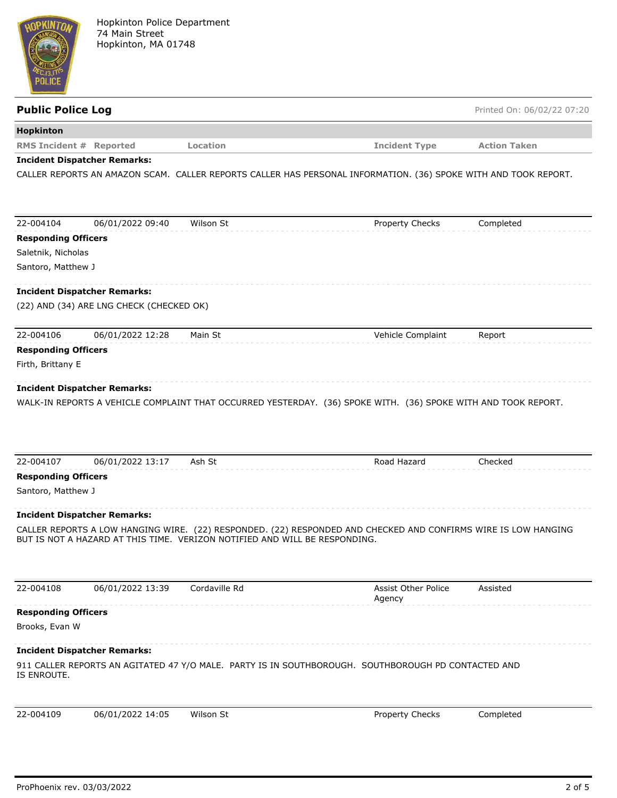

| <b>Public Police Log</b>       |                                          |                                                                            |                                                                                                                 | Printed On: 06/02/22 07:20 |
|--------------------------------|------------------------------------------|----------------------------------------------------------------------------|-----------------------------------------------------------------------------------------------------------------|----------------------------|
| Hopkinton                      |                                          |                                                                            |                                                                                                                 |                            |
| <b>RMS Incident # Reported</b> |                                          | Location                                                                   | <b>Incident Type</b>                                                                                            | <b>Action Taken</b>        |
|                                | <b>Incident Dispatcher Remarks:</b>      |                                                                            |                                                                                                                 |                            |
|                                |                                          |                                                                            | CALLER REPORTS AN AMAZON SCAM. CALLER REPORTS CALLER HAS PERSONAL INFORMATION. (36) SPOKE WITH AND TOOK REPORT. |                            |
| 22-004104                      | 06/01/2022 09:40                         | Wilson St                                                                  | <b>Property Checks</b>                                                                                          | Completed                  |
| <b>Responding Officers</b>     |                                          |                                                                            |                                                                                                                 |                            |
| Saletnik, Nicholas             |                                          |                                                                            |                                                                                                                 |                            |
| Santoro, Matthew J             |                                          |                                                                            |                                                                                                                 |                            |
|                                | <b>Incident Dispatcher Remarks:</b>      |                                                                            |                                                                                                                 |                            |
|                                | (22) AND (34) ARE LNG CHECK (CHECKED OK) |                                                                            |                                                                                                                 |                            |
| 22-004106                      | 06/01/2022 12:28                         | Main St                                                                    | Vehicle Complaint                                                                                               | Report                     |
| <b>Responding Officers</b>     |                                          |                                                                            |                                                                                                                 |                            |
| Firth, Brittany E              |                                          |                                                                            |                                                                                                                 |                            |
|                                |                                          |                                                                            |                                                                                                                 |                            |
| 22-004107                      | 06/01/2022 13:17                         | Ash St                                                                     | Road Hazard                                                                                                     | Checked                    |
| <b>Responding Officers</b>     |                                          |                                                                            |                                                                                                                 |                            |
| Santoro, Matthew J             |                                          |                                                                            |                                                                                                                 |                            |
|                                | <b>Incident Dispatcher Remarks:</b>      |                                                                            |                                                                                                                 |                            |
|                                |                                          | BUT IS NOT A HAZARD AT THIS TIME. VERIZON NOTIFIED AND WILL BE RESPONDING. | CALLER REPORTS A LOW HANGING WIRE. (22) RESPONDED. (22) RESPONDED AND CHECKED AND CONFIRMS WIRE IS LOW HANGING  |                            |
| 22-004108                      | 06/01/2022 13:39                         | Cordaville Rd                                                              | Assist Other Police<br>Agency                                                                                   | Assisted                   |
| <b>Responding Officers</b>     |                                          |                                                                            |                                                                                                                 |                            |
| Brooks, Evan W                 |                                          |                                                                            |                                                                                                                 |                            |
|                                | <b>Incident Dispatcher Remarks:</b>      |                                                                            |                                                                                                                 |                            |
| IS ENROUTE.                    |                                          |                                                                            | 911 CALLER REPORTS AN AGITATED 47 Y/O MALE. PARTY IS IN SOUTHBOROUGH. SOUTHBOROUGH PD CONTACTED AND             |                            |
| 22-004109                      | 06/01/2022 14:05                         | Wilson St                                                                  | Property Checks                                                                                                 | Completed                  |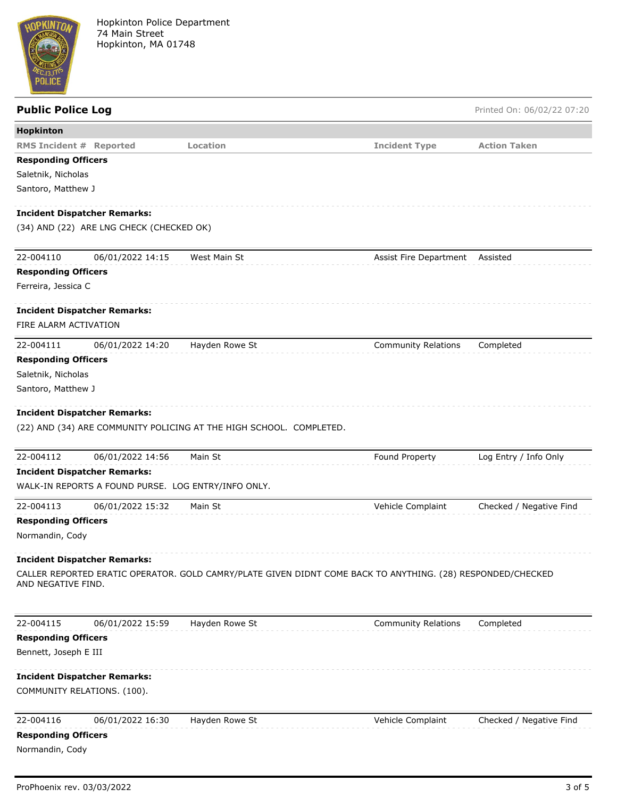

## **Public Police Log** Printed On: 06/02/22 07:20 **Hopkinton RMS Incident # Reported Location Incident Type Action Taken Responding Officers** Saletnik, Nicholas Santoro, Matthew J **Incident Dispatcher Remarks:** (34) AND (22) ARE LNG CHECK (CHECKED OK) 22-004110 06/01/2022 14:15 West Main St Assist Fire Department Assisted **Responding Officers** Ferreira, Jessica C **Incident Dispatcher Remarks:** FIRE ALARM ACTIVATION 22-004111 06/01/2022 14:20 Hayden Rowe St Community Relations Completed **Responding Officers** Saletnik, Nicholas Santoro, Matthew J **Incident Dispatcher Remarks:** (22) AND (34) ARE COMMUNITY POLICING AT THE HIGH SCHOOL. COMPLETED. 22-004112 06/01/2022 14:56 Main St Found Property Log Entry / Info Only **Incident Dispatcher Remarks:** WALK-IN REPORTS A FOUND PURSE. LOG ENTRY/INFO ONLY. 22-004113 06/01/2022 15:32 Main St Vehicle Complaint Checked / Negative Find **Responding Officers** Normandin, Cody **Incident Dispatcher Remarks:**

CALLER REPORTED ERATIC OPERATOR. GOLD CAMRY/PLATE GIVEN DIDNT COME BACK TO ANYTHING. (28) RESPONDED/CHECKED AND NEGATIVE FIND.

22-004115 06/01/2022 15:59 Hayden Rowe St Community Relations Completed **Responding Officers** Bennett, Joseph E III **Incident Dispatcher Remarks:** COMMUNITY RELATIONS. (100). 22-004116 06/01/2022 16:30 Hayden Rowe St Vehicle Complaint Checked / Negative Find **Responding Officers** Normandin, Cody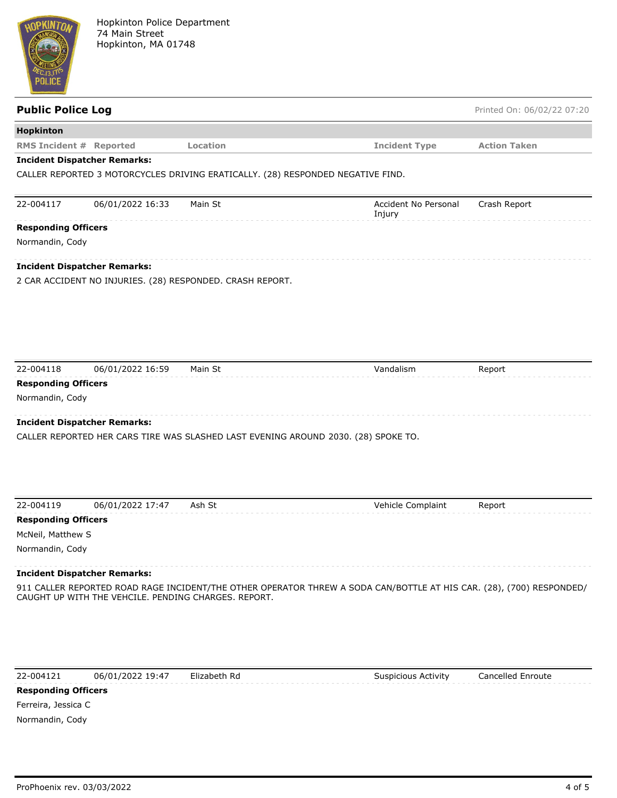

# **Hopkinton RMS Incident # Reported Location Incident Type Action Taken Incident Dispatcher Remarks:** CALLER REPORTED 3 MOTORCYCLES DRIVING ERATICALLY. (28) RESPONDED NEGATIVE FIND. 22-004117 06/01/2022 16:33 Main St Accident No Personal Injury Crash Report **Responding Officers** Normandin, Cody **Incident Dispatcher Remarks:** 2 CAR ACCIDENT NO INJURIES. (28) RESPONDED. CRASH REPORT. 22-004118 06/01/2022 16:59 Main St Vandalism Report **Responding Officers** Normandin, Cody **Incident Dispatcher Remarks:** CALLER REPORTED HER CARS TIRE WAS SLASHED LAST EVENING AROUND 2030. (28) SPOKE TO. 22-004119 06/01/2022 17:47 Ash St Vehicle Complaint Report

**Public Police Log** Printed On: 06/02/22 07:20

**Responding Officers**

McNeil, Matthew S

Normandin, Cody

#### **Incident Dispatcher Remarks:**

911 CALLER REPORTED ROAD RAGE INCIDENT/THE OTHER OPERATOR THREW A SODA CAN/BOTTLE AT HIS CAR. (28), (700) RESPONDED/ CAUGHT UP WITH THE VEHCILE. PENDING CHARGES. REPORT.

22-004121 06/01/2022 19:47 Elizabeth Rd Suspicious Activity Cancelled Enroute

#### **Responding Officers**

Ferreira, Jessica C Normandin, Cody